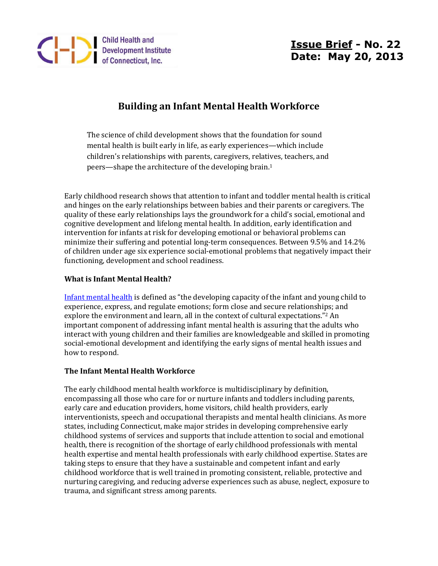

# **Issue Brief - No. 22 Date: May 20, 2013**

## **Building an Infant Mental Health Workforce**

The science of child development shows that the foundation for sound mental health is built early in life, as early experiences—which include children's relationships with parents, caregivers, relatives, teachers, and peers—shape the architecture of the developing brain.<sup>1</sup>

Early childhood research shows that attention to infant and toddler mental health is critical and hinges on the early relationships between babies and their parents or caregivers. The quality of these early relationships lays the groundwork for a child's social, emotional and cognitive development and lifelong mental health. In addition, early identification and intervention for infants at risk for developing emotional or behavioral problems can minimize their suffering and potential long-term consequences. Between 9.5% and 14.2% of children under age six experience social-emotional problems that negatively impact their functioning, development and school readiness.

### **What is Infant Mental Health?**

[Infant mental health](http://www.kidsmentalhealthinfo.com/infant-early-childhood.php) is defined as "the developing capacity of the infant and young child to experience, express, and regulate emotions; form close and secure relationships; and explore the environment and learn, all in the context of cultural expectations."<sup>2</sup> An important component of addressing infant mental health is assuring that the adults who interact with young children and their families are knowledgeable and skilled in promoting social-emotional development and identifying the early signs of mental health issues and how to respond.

#### **The Infant Mental Health Workforce**

The early childhood mental health workforce is multidisciplinary by definition, encompassing all those who care for or nurture infants and toddlers including parents, early care and education providers, home visitors, child health providers, early interventionists, speech and occupational therapists and mental health clinicians. As more states, including Connecticut, make major strides in developing comprehensive early childhood systems of services and supports that include attention to social and emotional health, there is recognition of the shortage of early childhood professionals with mental health expertise and mental health professionals with early childhood expertise. States are taking steps to ensure that they have a sustainable and competent infant and early childhood workforce that is well trained in promoting consistent, reliable, protective and nurturing caregiving, and reducing adverse experiences such as abuse, neglect, exposure to trauma, and significant stress among parents.